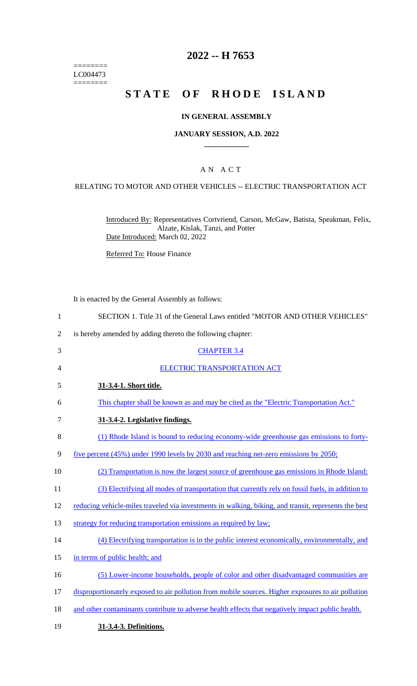======== LC004473  $=$ 

# **2022 -- H 7653**

# **STATE OF RHODE ISLAND**

## **IN GENERAL ASSEMBLY**

#### **JANUARY SESSION, A.D. 2022 \_\_\_\_\_\_\_\_\_\_\_\_**

## A N A C T

### RELATING TO MOTOR AND OTHER VEHICLES -- ELECTRIC TRANSPORTATION ACT

Introduced By: Representatives Cortvriend, Carson, McGaw, Batista, Speakman, Felix, Alzate, Kislak, Tanzi, and Potter Date Introduced: March 02, 2022

Referred To: House Finance

It is enacted by the General Assembly as follows:

| $\mathbf{1}$   | SECTION 1. Title 31 of the General Laws entitled "MOTOR AND OTHER VEHICLES"                          |
|----------------|------------------------------------------------------------------------------------------------------|
| $\overline{2}$ | is hereby amended by adding thereto the following chapter:                                           |
| 3              | <b>CHAPTER 3.4</b>                                                                                   |
| 4              | <b>ELECTRIC TRANSPORTATION ACT</b>                                                                   |
| 5              | 31-3.4-1. Short title.                                                                               |
| 6              | This chapter shall be known as and may be cited as the "Electric Transportation Act."                |
| 7              | 31-3.4-2. Legislative findings.                                                                      |
| 8              | (1) Rhode Island is bound to reducing economy-wide greenhouse gas emissions to forty-                |
| 9              | five percent (45%) under 1990 levels by 2030 and reaching net-zero emissions by 2050;                |
| 10             | (2) Transportation is now the largest source of greenhouse gas emissions in Rhode Island;            |
| 11             | (3) Electrifying all modes of transportation that currently rely on fossil fuels, in addition to     |
| 12             | reducing vehicle-miles traveled via investments in walking, biking, and transit, represents the best |
| 13             | strategy for reducing transportation emissions as required by law;                                   |
| 14             | (4) Electrifying transportation is in the public interest economically, environmentally, and         |
| 15             | in terms of public health; and                                                                       |
| 16             | (5) Lower-income households, people of color and other disadvantaged communities are                 |
| 17             | disproportionately exposed to air pollution from mobile sources. Higher exposures to air pollution   |
| 18             | and other contaminants contribute to adverse health effects that negatively impact public health.    |
| 19             | 31-3.4-3. Definitions.                                                                               |
|                |                                                                                                      |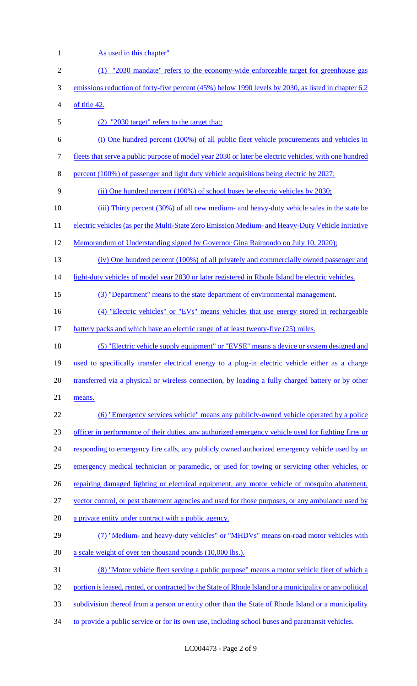1 As used in this chapter" (1) "2030 mandate" refers to the economy-wide enforceable target for greenhouse gas emissions reduction of forty-five percent (45%) below 1990 levels by 2030, as listed in chapter 6.2 of title 42. (2) "2030 target" refers to the target that: (i) One hundred percent (100%) of all public fleet vehicle procurements and vehicles in fleets that serve a public purpose of model year 2030 or later be electric vehicles, with one hundred percent (100%) of passenger and light duty vehicle acquisitions being electric by 2027; (ii) One hundred percent (100%) of school buses be electric vehicles by 2030; (iii) Thirty percent (30%) of all new medium- and heavy-duty vehicle sales in the state be 11 electric vehicles (as per the Multi-State Zero Emission Medium- and Heavy-Duty Vehicle Initiative Memorandum of Understanding signed by Governor Gina Raimondo on July 10, 2020); (iv) One hundred percent (100%) of all privately and commercially owned passenger and 14 light-duty vehicles of model year 2030 or later registered in Rhode Island be electric vehicles. (3) "Department" means to the state department of environmental management. 16 (4) "Electric vehicles" or "EVs" means vehicles that use energy stored in rechargeable battery packs and which have an electric range of at least twenty-five (25) miles. (5) "Electric vehicle supply equipment" or "EVSE" means a device or system designed and 19 used to specifically transfer electrical energy to a plug-in electric vehicle either as a charge transferred via a physical or wireless connection, by loading a fully charged battery or by other means. (6) "Emergency services vehicle" means any publicly-owned vehicle operated by a police officer in performance of their duties, any authorized emergency vehicle used for fighting fires or 24 responding to emergency fire calls, any publicly owned authorized emergency vehicle used by an emergency medical technician or paramedic, or used for towing or servicing other vehicles, or 26 repairing damaged lighting or electrical equipment, any motor vehicle of mosquito abatement, vector control, or pest abatement agencies and used for those purposes, or any ambulance used by 28 a private entity under contract with a public agency. (7) "Medium- and heavy-duty vehicles" or "MHDVs" means on-road motor vehicles with 30 a scale weight of over ten thousand pounds (10,000 lbs.). (8) "Motor vehicle fleet serving a public purpose" means a motor vehicle fleet of which a 32 portion is leased, rented, or contracted by the State of Rhode Island or a municipality or any political subdivision thereof from a person or entity other than the State of Rhode Island or a municipality 34 to provide a public service or for its own use, including school buses and paratransit vehicles.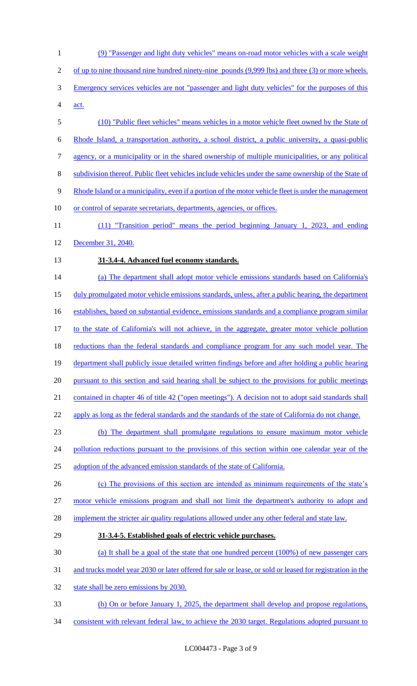1 (9) "Passenger and light duty vehicles" means on-road motor vehicles with a scale weight 2 of up to nine thousand nine hundred ninety-nine pounds (9,999 lbs) and three (3) or more wheels. 3 Emergency services vehicles are not "passenger and light duty vehicles" for the purposes of this 4 act. 5 (10) "Public fleet vehicles" means vehicles in a motor vehicle fleet owned by the State of 6 Rhode Island, a transportation authority, a school district, a public university, a quasi-public 7 agency, or a municipality or in the shared ownership of multiple municipalities, or any political 8 subdivision thereof. Public fleet vehicles include vehicles under the same ownership of the State of 9 Rhode Island or a municipality, even if a portion of the motor vehicle fleet is under the management 10 or control of separate secretariats, departments, agencies, or offices. 11 (11) "Transition period" means the period beginning January 1, 2023, and ending 12 December 31, 2040. 13 **31-3.4-4. Advanced fuel economy standards.**  14 (a) The department shall adopt motor vehicle emissions standards based on California's 15 duly promulgated motor vehicle emissions standards, unless, after a public hearing, the department 16 establishes, based on substantial evidence, emissions standards and a compliance program similar 17 to the state of California's will not achieve, in the aggregate, greater motor vehicle pollution 18 reductions than the federal standards and compliance program for any such model year. The 19 department shall publicly issue detailed written findings before and after holding a public hearing 20 pursuant to this section and said hearing shall be subject to the provisions for public meetings 21 contained in chapter 46 of title 42 ("open meetings"). A decision not to adopt said standards shall 22 apply as long as the federal standards and the standards of the state of California do not change. 23 (b) The department shall promulgate regulations to ensure maximum motor vehicle 24 pollution reductions pursuant to the provisions of this section within one calendar year of the 25 adoption of the advanced emission standards of the state of California. 26 (c) The provisions of this section are intended as minimum requirements of the state's 27 motor vehicle emissions program and shall not limit the department's authority to adopt and 28 implement the stricter air quality regulations allowed under any other federal and state law. 29 **31-3.4-5. Established goals of electric vehicle purchases.**  30 (a) It shall be a goal of the state that one hundred percent (100%) of new passenger cars 31 and trucks model year 2030 or later offered for sale or lease, or sold or leased for registration in the 32 state shall be zero emissions by 2030. 33 (b) On or before January 1, 2025, the department shall develop and propose regulations, 34 consistent with relevant federal law, to achieve the 2030 target. Regulations adopted pursuant to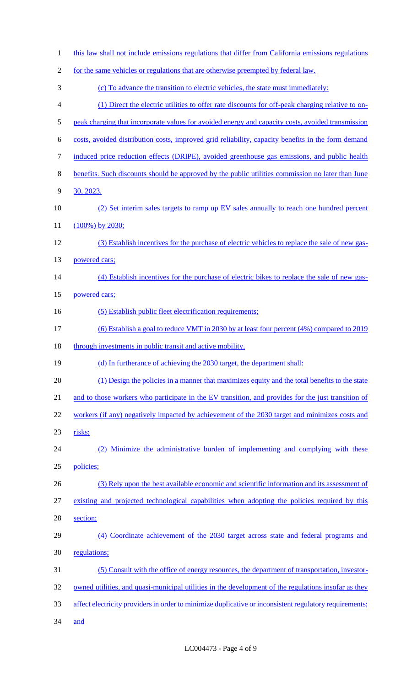| $\mathbf{1}$             | this law shall not include emissions regulations that differ from California emissions regulations     |
|--------------------------|--------------------------------------------------------------------------------------------------------|
| $\sqrt{2}$               | for the same vehicles or regulations that are otherwise preempted by federal law.                      |
| 3                        | (c) To advance the transition to electric vehicles, the state must immediately:                        |
| $\overline{\mathcal{A}}$ | (1) Direct the electric utilities to offer rate discounts for off-peak charging relative to on-        |
| 5                        | peak charging that incorporate values for avoided energy and capacity costs, avoided transmission      |
| 6                        | costs, avoided distribution costs, improved grid reliability, capacity benefits in the form demand     |
| 7                        | induced price reduction effects (DRIPE), avoided greenhouse gas emissions, and public health           |
| $8\,$                    | benefits. Such discounts should be approved by the public utilities commission no later than June      |
| 9                        | 30, 2023.                                                                                              |
| 10                       | (2) Set interim sales targets to ramp up EV sales annually to reach one hundred percent                |
| 11                       | $(100\%)$ by 2030;                                                                                     |
| 12                       | (3) Establish incentives for the purchase of electric vehicles to replace the sale of new gas-         |
| 13                       | powered cars;                                                                                          |
| 14                       | (4) Establish incentives for the purchase of electric bikes to replace the sale of new gas-            |
| 15                       | powered cars;                                                                                          |
| 16                       | (5) Establish public fleet electrification requirements;                                               |
| 17                       | (6) Establish a goal to reduce VMT in 2030 by at least four percent (4%) compared to 2019              |
| 18                       | through investments in public transit and active mobility.                                             |
| 19                       | (d) In furtherance of achieving the 2030 target, the department shall:                                 |
| 20                       | (1) Design the policies in a manner that maximizes equity and the total benefits to the state          |
| 21                       | and to those workers who participate in the EV transition, and provides for the just transition of     |
| 22                       | workers (if any) negatively impacted by achievement of the 2030 target and minimizes costs and         |
| 23                       | risks;                                                                                                 |
| 24                       | (2) Minimize the administrative burden of implementing and complying with these                        |
| 25                       | policies;                                                                                              |
| 26                       | (3) Rely upon the best available economic and scientific information and its assessment of             |
| 27                       | existing and projected technological capabilities when adopting the policies required by this          |
| 28                       | section;                                                                                               |
| 29                       | (4) Coordinate achievement of the 2030 target across state and federal programs and                    |
| 30                       | regulations;                                                                                           |
| 31                       | (5) Consult with the office of energy resources, the department of transportation, investor-           |
| 32                       | owned utilities, and quasi-municipal utilities in the development of the regulations insofar as they   |
| 33                       | affect electricity providers in order to minimize duplicative or inconsistent regulatory requirements; |
| 34                       | <u>and</u>                                                                                             |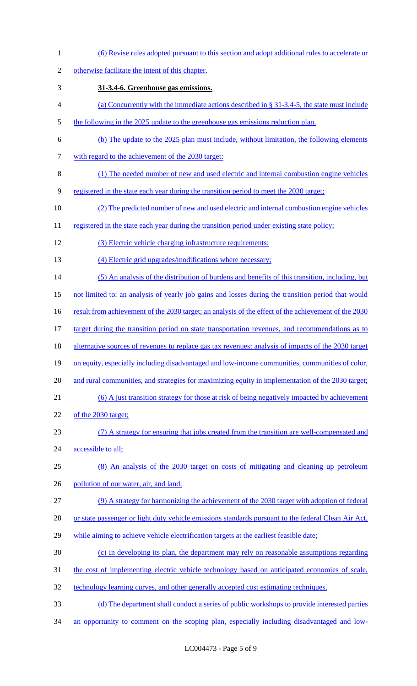(6) Revise rules adopted pursuant to this section and adopt additional rules to accelerate or otherwise facilitate the intent of this chapter. **31-3.4-6. Greenhouse gas emissions.**  (a) Concurrently with the immediate actions described in § 31-3.4-5, the state must include 5 the following in the 2025 update to the greenhouse gas emissions reduction plan. (b) The update to the 2025 plan must include, without limitation, the following elements 7 with regard to the achievement of the 2030 target: (1) The needed number of new and used electric and internal combustion engine vehicles registered in the state each year during the transition period to meet the 2030 target; (2) The predicted number of new and used electric and internal combustion engine vehicles 11 registered in the state each year during the transition period under existing state policy; (3) Electric vehicle charging infrastructure requirements; 13 (4) Electric grid upgrades/modifications where necessary; (5) An analysis of the distribution of burdens and benefits of this transition, including, but not limited to: an analysis of yearly job gains and losses during the transition period that would 16 result from achievement of the 2030 target; an analysis of the effect of the achievement of the 2030 17 target during the transition period on state transportation revenues, and recommendations as to 18 alternative sources of revenues to replace gas tax revenues; analysis of impacts of the 2030 target on equity, especially including disadvantaged and low-income communities, communities of color, and rural communities, and strategies for maximizing equity in implementation of the 2030 target; (6) A just transition strategy for those at risk of being negatively impacted by achievement of the 2030 target; (7) A strategy for ensuring that jobs created from the transition are well-compensated and 24 accessible to all; (8) An analysis of the 2030 target on costs of mitigating and cleaning up petroleum 26 pollution of our water, air, and land; (9) A strategy for harmonizing the achievement of the 2030 target with adoption of federal 28 or state passenger or light duty vehicle emissions standards pursuant to the federal Clean Air Act, while aiming to achieve vehicle electrification targets at the earliest feasible date; (c) In developing its plan, the department may rely on reasonable assumptions regarding 31 the cost of implementing electric vehicle technology based on anticipated economies of scale, 32 technology learning curves, and other generally accepted cost estimating techniques. (d) The department shall conduct a series of public workshops to provide interested parties 34 an opportunity to comment on the scoping plan, especially including disadvantaged and low-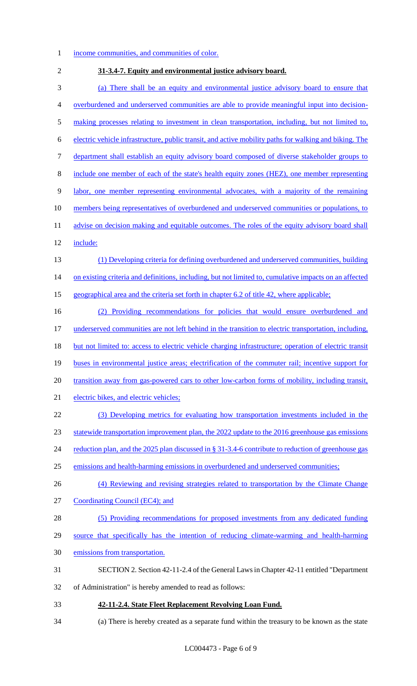### income communities, and communities of color.

- **31-3.4-7. Equity and environmental justice advisory board.**  (a) There shall be an equity and environmental justice advisory board to ensure that overburdened and underserved communities are able to provide meaningful input into decision- making processes relating to investment in clean transportation, including, but not limited to, electric vehicle infrastructure, public transit, and active mobility paths for walking and biking. The department shall establish an equity advisory board composed of diverse stakeholder groups to include one member of each of the state's health equity zones (HEZ), one member representing labor, one member representing environmental advocates, with a majority of the remaining 10 members being representatives of overburdened and underserved communities or populations, to 11 advise on decision making and equitable outcomes. The roles of the equity advisory board shall include: (1) Developing criteria for defining overburdened and underserved communities, building 14 on existing criteria and definitions, including, but not limited to, cumulative impacts on an affected geographical area and the criteria set forth in chapter 6.2 of title 42, where applicable; (2) Providing recommendations for policies that would ensure overburdened and underserved communities are not left behind in the transition to electric transportation, including, but not limited to: access to electric vehicle charging infrastructure; operation of electric transit buses in environmental justice areas; electrification of the commuter rail; incentive support for transition away from gas-powered cars to other low-carbon forms of mobility, including transit, electric bikes, and electric vehicles; (3) Developing metrics for evaluating how transportation investments included in the statewide transportation improvement plan, the 2022 update to the 2016 greenhouse gas emissions 24 reduction plan, and the 2025 plan discussed in § 31-3.4-6 contribute to reduction of greenhouse gas emissions and health-harming emissions in overburdened and underserved communities; 26 (4) Reviewing and revising strategies related to transportation by the Climate Change Coordinating Council (EC4); and (5) Providing recommendations for proposed investments from any dedicated funding source that specifically has the intention of reducing climate-warming and health-harming emissions from transportation. SECTION 2. Section 42-11-2.4 of the General Laws in Chapter 42-11 entitled "Department of Administration" is hereby amended to read as follows: **42-11-2.4. State Fleet Replacement Revolving Loan Fund.**
- (a) There is hereby created as a separate fund within the treasury to be known as the state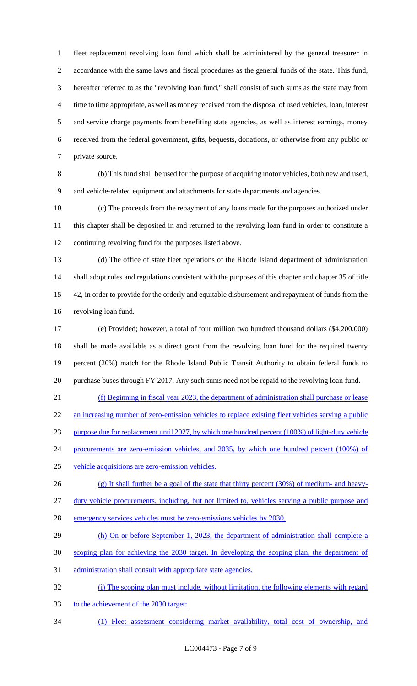fleet replacement revolving loan fund which shall be administered by the general treasurer in accordance with the same laws and fiscal procedures as the general funds of the state. This fund, hereafter referred to as the "revolving loan fund," shall consist of such sums as the state may from time to time appropriate, as well as money received from the disposal of used vehicles, loan, interest and service charge payments from benefiting state agencies, as well as interest earnings, money received from the federal government, gifts, bequests, donations, or otherwise from any public or private source.

 (b) This fund shall be used for the purpose of acquiring motor vehicles, both new and used, and vehicle-related equipment and attachments for state departments and agencies.

 (c) The proceeds from the repayment of any loans made for the purposes authorized under this chapter shall be deposited in and returned to the revolving loan fund in order to constitute a continuing revolving fund for the purposes listed above.

 (d) The office of state fleet operations of the Rhode Island department of administration shall adopt rules and regulations consistent with the purposes of this chapter and chapter 35 of title 42, in order to provide for the orderly and equitable disbursement and repayment of funds from the revolving loan fund.

 (e) Provided; however, a total of four million two hundred thousand dollars (\$4,200,000) shall be made available as a direct grant from the revolving loan fund for the required twenty percent (20%) match for the Rhode Island Public Transit Authority to obtain federal funds to purchase buses through FY 2017. Any such sums need not be repaid to the revolving loan fund.

 (f) Beginning in fiscal year 2023, the department of administration shall purchase or lease 22 an increasing number of zero-emission vehicles to replace existing fleet vehicles serving a public purpose due for replacement until 2027, by which one hundred percent (100%) of light-duty vehicle 24 procurements are zero-emission vehicles, and 2035, by which one hundred percent (100%) of

- vehicle acquisitions are zero-emission vehicles.
- (g) It shall further be a goal of the state that thirty percent (30%) of medium- and heavy-duty vehicle procurements, including, but not limited to, vehicles serving a public purpose and
- emergency services vehicles must be zero-emissions vehicles by 2030.
- 29 (h) On or before September 1, 2023, the department of administration shall complete a
- scoping plan for achieving the 2030 target. In developing the scoping plan, the department of
- administration shall consult with appropriate state agencies.
- (i) The scoping plan must include, without limitation, the following elements with regard
- to the achievement of the 2030 target:
- (1) Fleet assessment considering market availability, total cost of ownership, and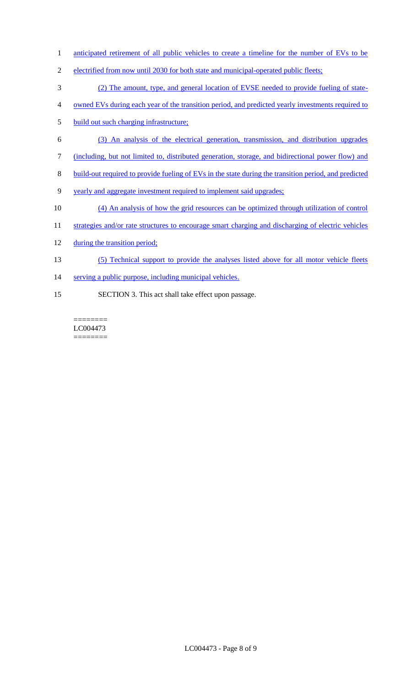- 1 anticipated retirement of all public vehicles to create a timeline for the number of EVs to be
- 2 electrified from now until 2030 for both state and municipal-operated public fleets;
- 3 (2) The amount, type, and general location of EVSE needed to provide fueling of state-
- 4 owned EVs during each year of the transition period, and predicted yearly investments required to
- 5 build out such charging infrastructure;
- 6 (3) An analysis of the electrical generation, transmission, and distribution upgrades
- 7 (including, but not limited to, distributed generation, storage, and bidirectional power flow) and
- 8 build-out required to provide fueling of EVs in the state during the transition period, and predicted
- 9 yearly and aggregate investment required to implement said upgrades;
- 10 (4) An analysis of how the grid resources can be optimized through utilization of control
- 11 strategies and/or rate structures to encourage smart charging and discharging of electric vehicles
- 12 during the transition period;
- 13 (5) Technical support to provide the analyses listed above for all motor vehicle fleets
- 14 serving a public purpose, including municipal vehicles.
- 15 SECTION 3. This act shall take effect upon passage.

======== LC004473 ========